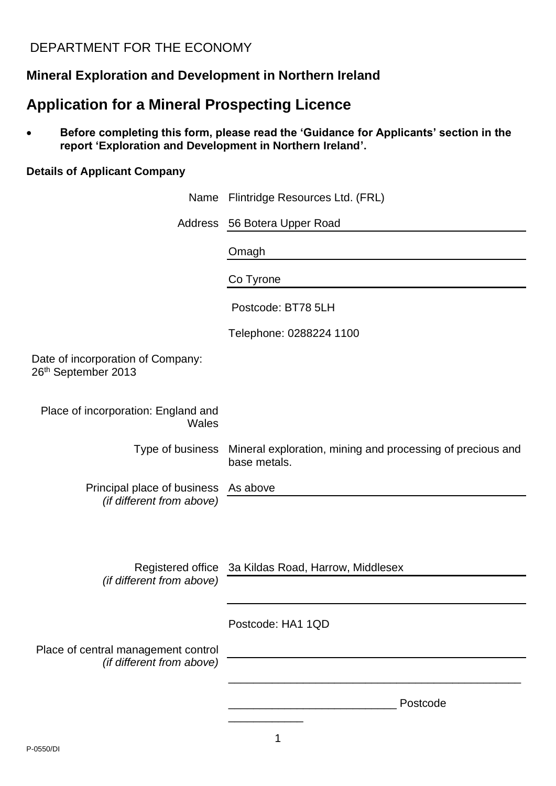# DEPARTMENT FOR THE ECONOMY

# **Mineral Exploration and Development in Northern Ireland**

# **Application for a Mineral Prospecting Licence**

• **Before completing this form, please read the 'Guidance for Applicants' section in the report 'Exploration and Development in Northern Ireland'.**

## **Details of Applicant Company**

|                                                                   | Name Flintridge Resources Ltd. (FRL)                                       |  |
|-------------------------------------------------------------------|----------------------------------------------------------------------------|--|
|                                                                   | Address 56 Botera Upper Road                                               |  |
|                                                                   | Omagh                                                                      |  |
|                                                                   | Co Tyrone                                                                  |  |
|                                                                   | Postcode: BT78 5LH                                                         |  |
|                                                                   | Telephone: 0288224 1100                                                    |  |
| Date of incorporation of Company:<br>26th September 2013          |                                                                            |  |
| Place of incorporation: England and<br><b>Wales</b>               |                                                                            |  |
| Type of business                                                  | Mineral exploration, mining and processing of precious and<br>base metals. |  |
| Principal place of business As above<br>(if different from above) |                                                                            |  |
|                                                                   |                                                                            |  |
| (if different from above)                                         | Registered office 3a Kildas Road, Harrow, Middlesex                        |  |
|                                                                   |                                                                            |  |
|                                                                   | Postcode: HA1 1QD                                                          |  |
| Place of central management control<br>(if different from above)  |                                                                            |  |
|                                                                   |                                                                            |  |
|                                                                   | Postcode                                                                   |  |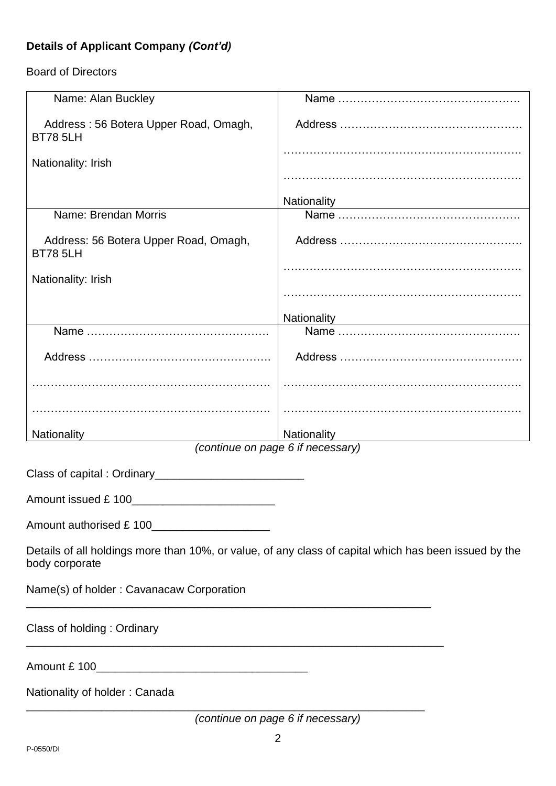# **Details of Applicant Company** *(Cont'd)*

## Board of Directors

| Name: Alan Buckley                                                                                                      |                                                        |  |  |  |
|-------------------------------------------------------------------------------------------------------------------------|--------------------------------------------------------|--|--|--|
| Address: 56 Botera Upper Road, Omagh,<br><b>BT78 5LH</b>                                                                |                                                        |  |  |  |
| Nationality: Irish                                                                                                      |                                                        |  |  |  |
|                                                                                                                         |                                                        |  |  |  |
|                                                                                                                         | Nationality <b>Nationality Nationality Nationality</b> |  |  |  |
| Name: Brendan Morris                                                                                                    |                                                        |  |  |  |
| Address: 56 Botera Upper Road, Omagh,<br><b>BT78 5LH</b>                                                                |                                                        |  |  |  |
| Nationality: Irish                                                                                                      |                                                        |  |  |  |
|                                                                                                                         |                                                        |  |  |  |
|                                                                                                                         | Nationality <b>Nationality Nationality</b>             |  |  |  |
|                                                                                                                         |                                                        |  |  |  |
|                                                                                                                         |                                                        |  |  |  |
|                                                                                                                         |                                                        |  |  |  |
|                                                                                                                         |                                                        |  |  |  |
| Nationality                                                                                                             | Nationality                                            |  |  |  |
|                                                                                                                         | (continue on page 6 if necessary)                      |  |  |  |
|                                                                                                                         |                                                        |  |  |  |
| Amount issued £ 100                                                                                                     |                                                        |  |  |  |
|                                                                                                                         |                                                        |  |  |  |
| Details of all holdings more than 10%, or value, of any class of capital which has been issued by the<br>body corporate |                                                        |  |  |  |
| Name(s) of holder: Cavanacaw Corporation                                                                                |                                                        |  |  |  |
| Class of holding: Ordinary                                                                                              |                                                        |  |  |  |
|                                                                                                                         |                                                        |  |  |  |
| Nationality of holder: Canada                                                                                           |                                                        |  |  |  |
|                                                                                                                         | (continue on page 6 if necessary)                      |  |  |  |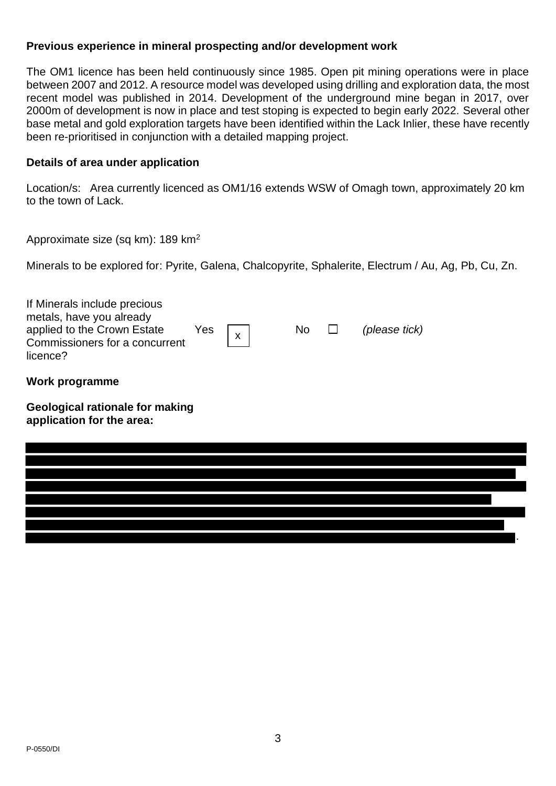#### **Previous experience in mineral prospecting and/or development work**

The OM1 licence has been held continuously since 1985. Open pit mining operations were in place between 2007 and 2012. A resource model was developed using drilling and exploration data, the most recent model was published in 2014. Development of the underground mine began in 2017, over 2000m of development is now in place and test stoping is expected to begin early 2022. Several other base metal and gold exploration targets have been identified within the Lack Inlier, these have recently been re-prioritised in conjunction with a detailed mapping project.

#### **Details of area under application**

Location/s: Area currently licenced as OM1/16 extends WSW of Omagh town, approximately 20 km to the town of Lack.

Approximate size (sq km): 189 km<sup>2</sup>

Minerals to be explored for: Pyrite, Galena, Chalcopyrite, Sphalerite, Electrum / Au, Ag, Pb, Cu, Zn.

| If Minerals include precious<br>metals, have you already<br>applied to the Crown Estate<br>Commissioners for a concurrent<br>licence? | Yes $\vert x\vert$ | No $\Box$ | (please tick) |
|---------------------------------------------------------------------------------------------------------------------------------------|--------------------|-----------|---------------|
|                                                                                                                                       |                    |           |               |

**Work programme**

**Geological rationale for making application for the area:**

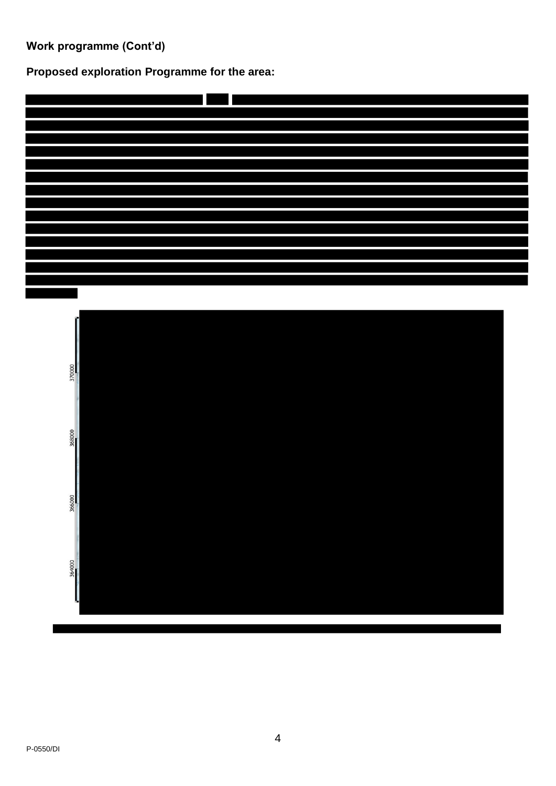**Work programme (Cont'd)**

**Proposed exploration Programme for the area:** 



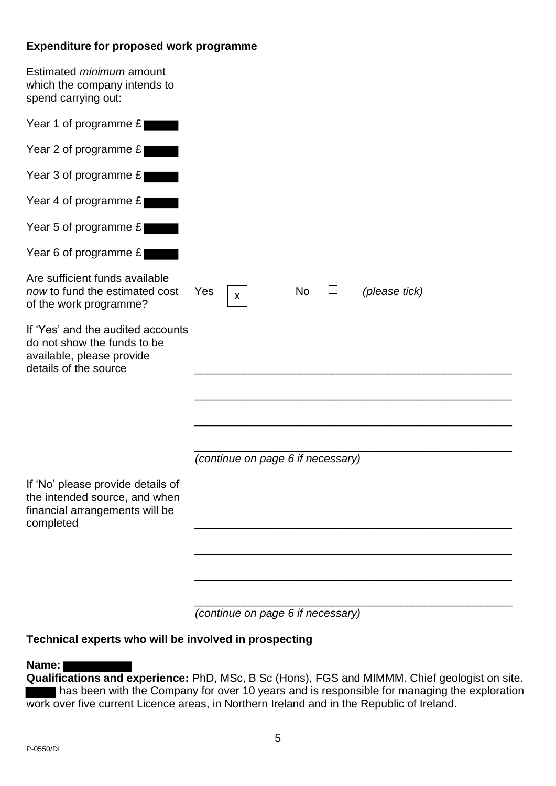#### **Expenditure for proposed work programme**

| Estimated <i>minimum</i> amount<br>which the company intends to<br>spend carrying out:                                 |                                   |           |        |               |
|------------------------------------------------------------------------------------------------------------------------|-----------------------------------|-----------|--------|---------------|
| Year 1 of programme £                                                                                                  |                                   |           |        |               |
| Year 2 of programme $E$                                                                                                |                                   |           |        |               |
| Year 3 of programme £                                                                                                  |                                   |           |        |               |
| Year 4 of programme £                                                                                                  |                                   |           |        |               |
| Year 5 of programme £                                                                                                  |                                   |           |        |               |
| Year 6 of programme £                                                                                                  |                                   |           |        |               |
| Are sufficient funds available<br>now to fund the estimated cost<br>of the work programme?                             | Yes<br>$\boldsymbol{\mathsf{X}}$  | <b>No</b> | $\Box$ | (please tick) |
| If 'Yes' and the audited accounts<br>do not show the funds to be<br>available, please provide<br>details of the source |                                   |           |        |               |
|                                                                                                                        |                                   |           |        |               |
|                                                                                                                        |                                   |           |        |               |
|                                                                                                                        |                                   |           |        |               |
|                                                                                                                        | (continue on page 6 if necessary) |           |        |               |
| If 'No' please provide details of<br>the intended source, and when                                                     |                                   |           |        |               |
| financial arrangements will be<br>completed                                                                            |                                   |           |        |               |
|                                                                                                                        |                                   |           |        |               |
|                                                                                                                        |                                   |           |        |               |
|                                                                                                                        |                                   |           |        |               |

*(continue on page 6 if necessary)*

## **Technical experts who will be involved in prospecting**

#### **Name:**

**Qualifications and experience:** PhD, MSc, B Sc (Hons), FGS and MIMMM. Chief geologist on site. **has been with the Company for over 10 years and is responsible for managing the exploration** work over five current Licence areas, in Northern Ireland and in the Republic of Ireland.